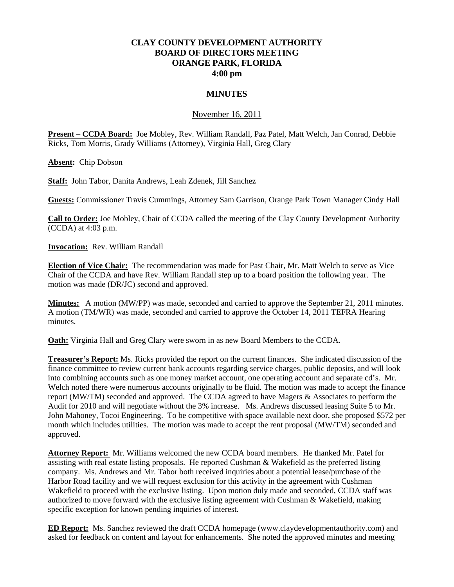## **CLAY COUNTY DEVELOPMENT AUTHORITY BOARD OF DIRECTORS MEETING ORANGE PARK, FLORIDA 4:00 pm**

## **MINUTES**

## November 16, 2011

**Present – CCDA Board:** Joe Mobley, Rev. William Randall, Paz Patel, Matt Welch, Jan Conrad, Debbie Ricks, Tom Morris, Grady Williams (Attorney), Virginia Hall, Greg Clary

**Absent:** Chip Dobson

**Staff:** John Tabor, Danita Andrews, Leah Zdenek, Jill Sanchez

**Guests:** Commissioner Travis Cummings, Attorney Sam Garrison, Orange Park Town Manager Cindy Hall

**Call to Order:** Joe Mobley, Chair of CCDA called the meeting of the Clay County Development Authority (CCDA) at 4:03 p.m.

**Invocation:** Rev. William Randall

**Election of Vice Chair:** The recommendation was made for Past Chair, Mr. Matt Welch to serve as Vice Chair of the CCDA and have Rev. William Randall step up to a board position the following year. The motion was made (DR/JC) second and approved.

**Minutes:** A motion (MW/PP) was made, seconded and carried to approve the September 21, 2011 minutes. A motion (TM/WR) was made, seconded and carried to approve the October 14, 2011 TEFRA Hearing minutes.

**Oath:** Virginia Hall and Greg Clary were sworn in as new Board Members to the CCDA.

**Treasurer's Report:** Ms. Ricks provided the report on the current finances. She indicated discussion of the finance committee to review current bank accounts regarding service charges, public deposits, and will look into combining accounts such as one money market account, one operating account and separate cd's. Mr. Welch noted there were numerous accounts originally to be fluid. The motion was made to accept the finance report (MW/TM) seconded and approved. The CCDA agreed to have Magers & Associates to perform the Audit for 2010 and will negotiate without the 3% increase. Ms. Andrews discussed leasing Suite 5 to Mr. John Mahoney, Tocoi Engineering. To be competitive with space available next door, she proposed \$572 per month which includes utilities. The motion was made to accept the rent proposal (MW/TM) seconded and approved.

**Attorney Report:** Mr. Williams welcomed the new CCDA board members. He thanked Mr. Patel for assisting with real estate listing proposals. He reported Cushman & Wakefield as the preferred listing company. Ms. Andrews and Mr. Tabor both received inquiries about a potential lease/purchase of the Harbor Road facility and we will request exclusion for this activity in the agreement with Cushman Wakefield to proceed with the exclusive listing. Upon motion duly made and seconded, CCDA staff was authorized to move forward with the exclusive listing agreement with Cushman  $&$  Wakefield, making specific exception for known pending inquiries of interest.

**ED Report:** Ms. Sanchez reviewed the draft CCDA homepage (www.claydevelopmentauthority.com) and asked for feedback on content and layout for enhancements. She noted the approved minutes and meeting